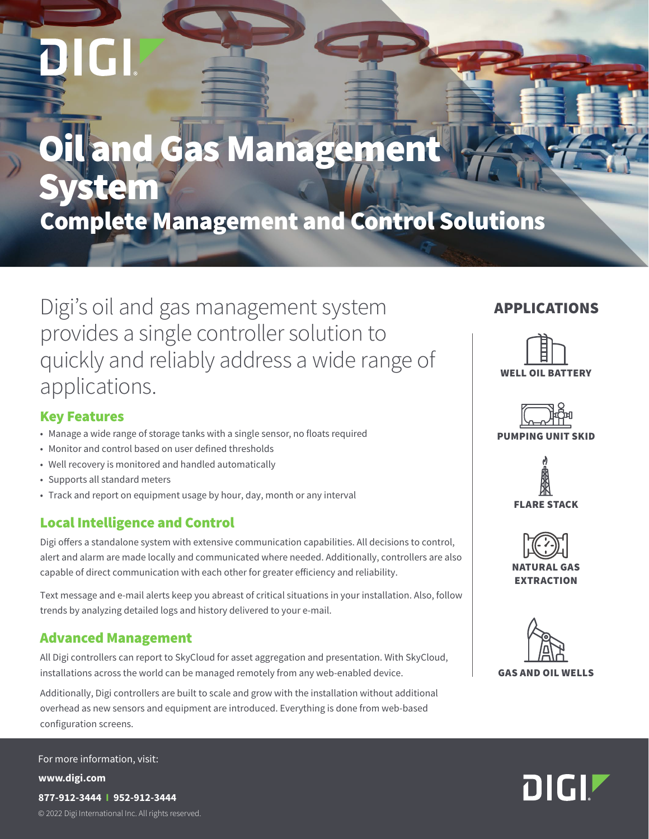# **Oil and Gas Management** vstem Complete Management and Control Solutions

Digi's oil and gas management system provides a single controller solution to quickly and reliably address a wide range of applications.

#### APPLICATIONS



#### Key Features

- Manage a wide range of storage tanks with a single sensor, no floats required
- Monitor and control based on user defined thresholds
- Well recovery is monitored and handled automatically
- Supports all standard meters
- Track and report on equipment usage by hour, day, month or any interval

#### Local Intelligence and Control

Digi offers a standalone system with extensive communication capabilities. All decisions to control, alert and alarm are made locally and communicated where needed. Additionally, controllers are also capable of direct communication with each other for greater efficiency and reliability.

Text message and e-mail alerts keep you abreast of critical situations in your installation. Also, follow trends by analyzing detailed logs and history delivered to your e-mail.

#### Advanced Management

All Digi controllers can report to SkyCloud for asset aggregation and presentation. With SkyCloud, installations across the world can be managed remotely from any web-enabled device.

Additionally, Digi controllers are built to scale and grow with the installation without additional overhead as new sensors and equipment are introduced. Everything is done from web-based configuration screens.

© 2022 Digi International Inc. All rights reserved. **www.digi.com 877-912-3444 I 952-912-3444** For more information, visit:

## PUMPING UNIT SKID





**EXTRACTION**